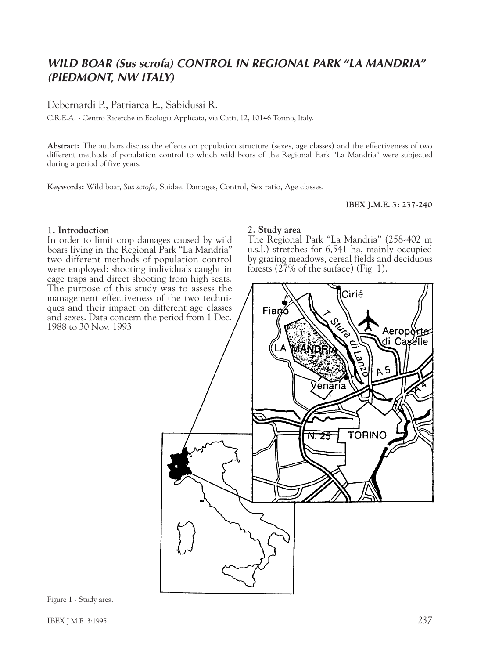# *WILD BOAR (Sus scrofa) CONTROL IN REGIONAL PARK "LA MANDRIA" (PIEDMONT, NW ITALY)*

# Debernardi P., Patriarca E., Sabidussi R.

C.R.E.A. - Centro Ricerche in Ecologia Applicata, via Catti, 12, 10146 Torino, Italy.

**Abstract:** The authors discuss the effects on population structure (sexes, age classes) and the effectiveness of two different methods of population control to which wild boars of the Regional Park "La Mandria" were subjected during a period of five years.

**Keywords:** Wild boar, *Sus scrofa,* Suidae, Damages, Control, Sex ratio, Age classes.

### **IBEX J.M.E. 3: 237-240**

### **1. Introduction**

In order to limit crop damages caused by wild boars living in the Regional Park "La Mandria" two different methods of population control were employed: shooting individuals caught in cage traps and direct shooting from high seats. The purpose of this study was to assess the management effectiveness of the two techniques and their impact on different age classes and sexes. Data concern the period from 1 Dec. 1988 to 30 Nov. 1993.

#### **2. Study area**

The Regional Park "La Mandria" (258-402 m u.s.l.) stretches for 6,541 ha, mainly occupied by grazing meadows, cereal fields and deciduous forests (27% of the surface) (Fig. 1).



Figure 1 - Study area.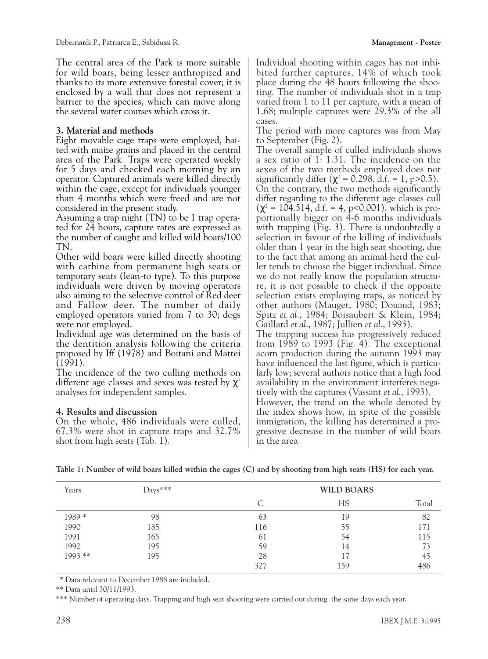The central area of the Park is more suitable for wild boars, being lesser anthropized and thanks to its more extensive forestal cover; it is enclosed by a wall that does not represent a barrier to the species, which can move along the several water courses which cross it.

## **3. Material and methods**

Eight movable cage traps were employed, baited with maize grains and placed in the central area of the Park. Traps were operated weekly for 5 days and checked each morning by an operator. Captured animals were killed directly within the cage, except for individuals younger than 4 months which were freed and are not considered in the present study.

Assuming a trap night (TN) to be 1 trap operated for 24 hours, capture rates are expressed as the number of caught and killed wild boars/100 TN.

Other wild boars were killed directly shooting with carbine from permanent high seats or temporary seats (lean-to type). To this purpose individuals were driven by moving operators also aiming to the selective control of Red deer and Fallow deer. The number of daily employed operators varied from 7 to 30; dogs were not employed.

Individual age was determined on the basis of the dentition analysis following the criteria proposed by Iff (1978) and Boitani and Mattei (1991).

The incidence of the two culling methods on different age classes and sexes was tested by  $\chi^2$ analyses for independent samples.

## **4. Results and discussion**

On the whole, 486 individuals were culled, 67.3% were shot in capture traps and 32.7% shot from high seats (Tab. 1).

Individual shooting within cages has not inhibited further captures, 14% of which took place during the 48 hours following the shooting. The number of individuals shot in a trap varied from 1 to 11 per capture, with a mean of 1.68; multiple captures were 29.3% of the all cases.

The period with more captures was from May to September (Fig. 2).

The overall sample of culled individuals shows a sex ratio of 1: 1.31. The incidence on the sexes of the two methods employed does not significantly differ ( $\chi^2$  = 0.298, d.f. = 1, p>0.5). On the contrary, the two methods significantly differ regarding to the different age classes cull  $(\chi^2 = 104.514, d.f. = 4, p<0.001)$ , which is proportionally bigger on 4-6 months individuals with trapping (Fig. 3). There is undoubtedly a selection in favour of the killing of individuals older than 1 year in the high seat shooting, due to the fact that among an animal herd the culler tends to choose the bigger individual. Since we do not really know the population structure, it is not possible to check if the opposite selection exists employing traps, as noticed by other authors (Mauget, 1980; Douaud, 1983; Spitz *et al*., 1984; Boisaubert & Klein, 1984; Gaillard *et al*., 1987; Jullien *et al*., 1993).

The trapping success has progressively reduced from 1989 to 1993 (Fig. 4). The exceptional acorn production during the autumn 1993 may have influenced the last figure, which is particularly low; several authors notice that a high food availability in the environment interferes negatively with the captures (Vassant *et al*., 1993).

However, the trend on the whole denoted by the index shows how, in spite of the possible immigration, the killing has determined a progressive decrease in the number of wild boars in the area.

| Years     | $_{\text{Days}***}$ | <b>WILD BOARS</b> |     |       |
|-----------|---------------------|-------------------|-----|-------|
|           |                     |                   | НS  | Total |
| 1989*     | 98                  | 63                | 19  | 82    |
| 1990      | 185                 | 116               | 55  | 171   |
| 1991      | 165                 | 61                | 54  | 115   |
| 1992      | 195                 | 59                | 14  | 73    |
| $1993$ ** | 195                 | 28                |     | 45    |
|           |                     | 327               | 159 | 486   |

\* Data relevant to December 1988 are included.

\*\* Data until 30/11/1993.

\*\*\* Number of operating days. Trapping and high seat shooting were carried out during the same days each year.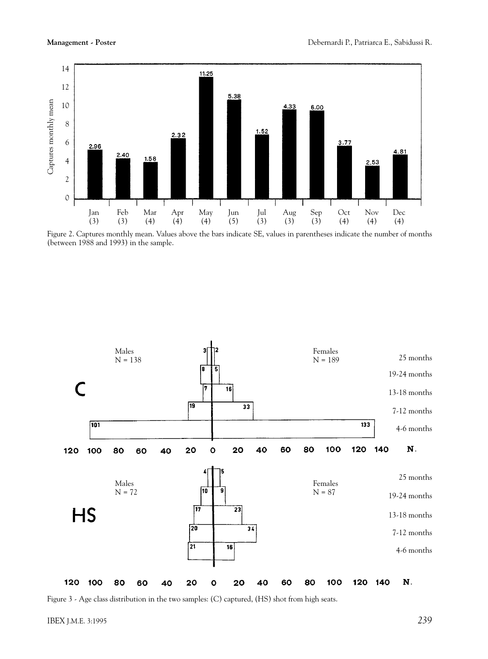

Figure 2. Captures monthly mean. Values above the bars indicate SE, values in parentheses indicate the number of months (between 1988 and 1993) in the sample.



Figure 3 - Age class distribution in the two samples: (C) captured, (HS) shot from high seats.